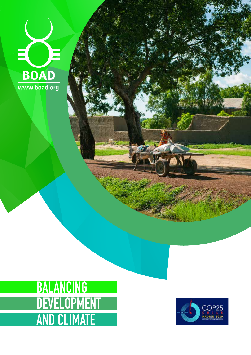



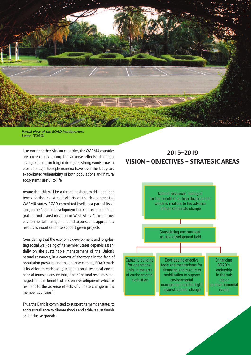

*Partial view of the BOAD headquarters Lomé (TOGO)*

Like most of other African countries, theWAEMU countries are increasingly facing the adverse effects of climate change (floods, prolonged droughts, strong winds, coastal erosion, etc.). These phenomena have, over the last years, exacerbated vulnerability of both populations and natural ecosystems useful to life.

Aware that this will be a threat, at short, middle and long terms, to the investment efforts of the development of WAEMU states, BOAD committed itself, as a part of its vision, to be "a solid development bank for economic integration and transformation in West Africa", to improve environmental management and to pursue its appropriate resources mobilization to support green projects.

Considering that the economic development and long-lasting social well-being of its member States depends essentially on the sustainable management of the Union's natural resources, in a context of shortages in the face of population pressure and the adverse climate, BOAD made it its vision to endeavour, in operational, technical and financial terms, to ensure that, it has:"natural resources managed for the benefit of a clean development which is resilient to the adverse effects of climate change in the member countries".

Thus, the Bank is committed to support its member states to address resilience to climate shocks and achieve sustainable and inclusive growth.

# 2015-2019 VISION - OBJECTIVES - STRATEGIC AREAS

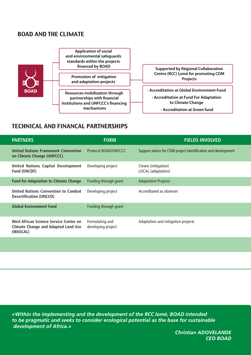# BOAD AND THE CLIMATE



# TECHNICAL AND FINANCAL PARTNERSHIPS

| <b>PARTNERS</b>                                                                                  | <b>FORM</b>                           | <b>FIELDS INVOLVED</b>                                        |
|--------------------------------------------------------------------------------------------------|---------------------------------------|---------------------------------------------------------------|
| <b>United Nations Framework Convention</b><br>on Climate Change (UNFCCC)                         | <b>Protocol BOAD/UNFCCC</b>           | Support advice for CDM project identification and development |
| <b>United Nations Capital Development</b><br><b>Fund (UNCDF)</b>                                 | Developing project                    | Cleans (mitigation)<br>LOCAL (adaptation)                     |
| <b>Fund for Adaptation to Climate Change</b>                                                     | Funding through grant                 | <b>Adaptation Projects</b>                                    |
| United Nations Convention to Combat<br><b>Desertification (UNCCD)</b>                            | Developing project                    | Accreditated as observer                                      |
| <b>Global Environment Fund</b>                                                                   | Funding through grant                 |                                                               |
| West African Science Service Center on<br><b>Climate Change and Adapted Land Use</b><br>(WASCAL) | Formulating and<br>developing project | Adaptation and mitigation projects                            |
|                                                                                                  |                                       |                                                               |

*«Within the implementing and the development of the RCC lomé, BOAD intended to be pragmatic and seeks to consider ecological potential as the base for sustainable development of Africa.»*

*Christian ADOVELANDE CEO BOAD*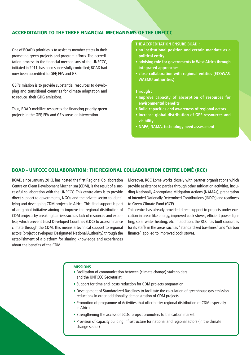## **ACCREDITATION TO THE THREE FINANCIAL MECHANISMS OF THE UNFCCC**

One of BOAD's priorities is to assist its member states in their promoting green projects and program efforts. The accreditation process to the financial mechanisms of the UNFCCC, initiated in 2011, has been successfully controlled; BOAD had now been accredited to GEF, FFA and GF.

GEF's mission is to provide substantial resources to developing and transitional countries for climate adaptation and to reduce their GHG emissions.

Thus, BOAD mobilize resources for financing priority green projects in the GEF, FFA and GF's areas of intervention.

### **THE ACCREDITATION ENSURE BOAD :**

- **• an institutional position and certain mandate as a political entity**
- **• advising role for governments in West Africa through integrated approaches**
- **• close collaboration with regional entities (ECOWAS, WAEMU authorities)**

#### **Through :**

- **• Improve capacity of absorption of resources for environmental benefits**
- **• Build capacities and awareness of regional actors**
- **• Increase global distribution of GEF ressources and visibility**
- **• NAPA, NAMA, technology need assessment**

## **BOAD - UNFCCC COLLABORATION : THE REGIONAL COLLABORATION CENTRE LOMÉ (RCC)**

BOAD, since January 2013, has hosted the first Regional Collaboration Centre on Clean Development Mechanism (CDM), is the result of a successful collaboration with the UNFCCC. This centre aims is to provide direct support to governments, NGOs and the private sector to identifying and developing CDM projects in Africa. This field support is part of an global initiative aiming to improve the regional distribution of CDM projects by breaking barriers such as lack of resources and expertise, which prevent Least Developed Countries (LDC) to access finance climate through the CDM. This means a technical support to regional actors (project developers, Designated National Authority) through the establishment of a platform for sharing knowledge and experiences about the benefits of the CDM.

Moreover, RCC Lomé works closely with partner organizations which provide assistance to parties through other mitigation activities, including Nationally Appropriate Mitigation Actions (NAMAs), preparation of Intended Nationally Determined Contributions (INDCs) and readiness to Green Climate Fund (GCF).

This centre has already provided direct support to projects under execution in areas like energy, improved cook stoves, efficient power lighting, solar water heating, etc. In addition, the RCC has built capacities for its staffs in the areas such as "standardized baselines" and "carbon finance" applied to improved cook stoves.

#### **MISSIONS**

- Facilitation of communication between (climate change) stakeholders and the UNFCCC Secretariat
- Support for time and costs reduction for CDM projects preparation
- Development of Standardized Baselines to facilitate the calculation of greenhouse gas emission reductions in order additionality demonstration of CDM projects
- Promotion of programme of Activities that offer better regional distribution of CDM especially in Africa
- Strengthening the access of LCDs' project promoters to the carbon market
- Provision of capacity building infrastructure for national and regional actors (in the climate change sector)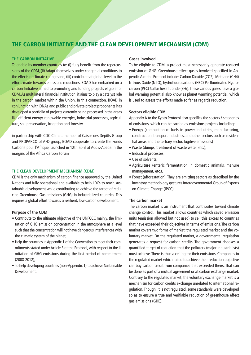# **THE CARBON INITIATIVE AND THE CLEAN DEVELOPMENT MECHANISM (CDM)**

#### **THE CARBON INITIATIVE**

To enable its member countries to: (i) fully benefit from the repercussions of the CDM, (ii) Adapt themselves under congenial conditions to the effects of climate change and, (iii) contribute at global level to the efforts made towards emissions reductions, BOAD has embarked on a carbon Initiative aimed to promoting and funding projects eligible for CDM.As multilateral financial institution, it aims to play a catalyst role in the carbon market within the Union. In this connection, BOAD in conjunction with DNAs and public and private project proponents has developed a portfolio of projects currently being processed in the areas like efficient energy, renewable energies, industrial processes, agriculture, soil preservation, irrigation and forestry.

in partnership with CDC Climat, member of Caisse des Dépôts Group and PROPARCO of AFD group, BOAD cooperate to create the Fonds Carbone pour l'Afrique, launched in 12th april at Addis-Abeba in the margins of the Africa Carbon Forum

#### **THE CLEAN DEVELOPMENT MECHANISM (CDM)**

CDM is the only mechanism of carbon finance approved by the United Nations and fully operational and available to help LDCs to reach sustainable development while contributing to achieve the target of reducing Greenhouse Gas emissions (GHG) in industrialized countries. This requires a global effort towards a resilient, low-carbon development.

#### **Purpose of the CDM**

- Contribute to the ultimate objective of the UNFCCC mainly, the limitation of GHG emission concentration in the atmosphere at a level such that the concentration will not have dangerous interferences with the climatic system of the planet;
- Help the countries in Appendix 1 of the Convention to meet their commitments stated under Article 3 of the Protocol, with respect to the limitation of GHG emissions during the first period of commitment (2008-2012);
- To help developing countries(non-Appendix 1) to achieve Sustainable Development.

#### **Gases involved**

To be eligible to CDM, a project must necessarily generate reduced emission of GHG. Greenhouse effect gases involved specified in AppendixA of the Protocol include: Carbon Dioxide (CO2), Methane (CH4) Nitrous Oxide (N2O), hydrofluorocarbons (HFC) Perfluorinated Hydrocarbon (PFC) Sulfur hexafluoride (SF6).These various gases have a global warming potential also know as planet warming potential, which is used to assess the efforts made so far as regards reduction.

## **Sectors eligible CDM**

Appendix A to the Kyoto Protocol also specifies the sectors / categories of emissions, which can be carried as emissions projects including:

- Energy (combustion of fuels in power industries, manufacturing, construction, transport industries, and other sectors such as residential areas and the tertiary sector, fugitive emissions)
- Waste (dumps, treatment of waste water, etc.);
- Industrial processes;
- Use of solvents;
- Agriculture (enteric fermentation in domestic animals, manure management, etc.).
- Forest (afforestation). They are emitting sectors as described by the inventory methodology gestures Intergovernmental Group of Experts on Climate Change (IPCC)

## **The carbon market**

The carbon market is an instrument that contributes toward climate change control. This market allows countries which saved emission units (emission allowed but not used) to sell this excess to countries that have exceeded their objectives in terms of emissions. The carbon market covers two forms of market: the regulated market and the voluntary market. On the regulated market, a governmental regulation generates a request for carbon credits. The government chooses a quantified target of reduction that the polluters (major industrialists) must achieve. There is thus a ceiling for their emissions. Companies in the regulated market which failed to achieve their reduction objective can buy carbon credit from companies that exceeded theirs. That can be done as part of a mutual agreement or at carbon exchange market. Contrary to the regulated market, the voluntary exchange market is a mechanism for carbon credits exchange unrelated to international regulation. Though, it is not regulated, some standards were developed so as to ensure a true and verifiable reduction of greenhouse effect gas emissions (GHE).